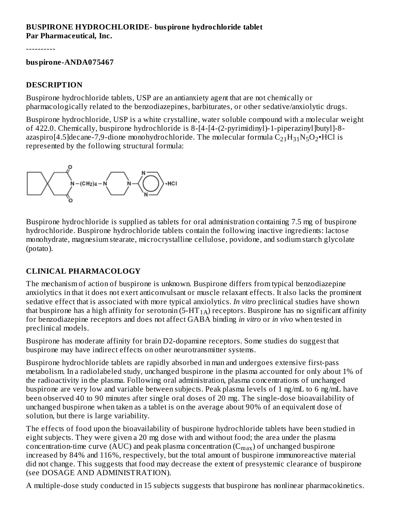#### **BUSPIRONE HYDROCHLORIDE- buspirone hydrochloride tablet Par Pharmaceutical, Inc.**

----------

#### **buspirone-ANDA075467**

#### **DESCRIPTION**

Buspirone hydrochloride tablets, USP are an antianxiety agent that are not chemically or pharmacologically related to the benzodiazepines, barbiturates, or other sedative/anxiolytic drugs.

Buspirone hydrochloride, USP is a white crystalline, water soluble compound with a molecular weight of 422.0. Chemically, buspirone hydrochloride is 8-[4-[4-(2-pyrimidinyl)-1-piperazinyl]butyl]-8 azaspiro[4.5]decane-7,9-dione monohydrochloride. The molecular formula  $\rm{C_{21}H_{31}N_5O_2}$ •HCl is represented by the following structural formula:



Buspirone hydrochloride is supplied as tablets for oral administration containing 7.5 mg of buspirone hydrochloride. Buspirone hydrochloride tablets contain the following inactive ingredients: lactose monohydrate, magnesium stearate, microcrystalline cellulose, povidone, and sodium starch glycolate (potato).

## **CLINICAL PHARMACOLOGY**

The mechanism of action of buspirone is unknown. Buspirone differs from typical benzodiazepine anxiolytics in that it does not exert anticonvulsant or muscle relaxant effects. It also lacks the prominent sedative effect that is associated with more typical anxiolytics. *In vitro* preclinical studies have shown that buspirone has a high affinity for serotonin (5-HT  $_{1\rm A}$ ) receptors. Buspirone has no significant affinity for benzodiazepine receptors and does not affect GABA binding *in vitro* or *in vivo* when tested in preclinical models.

Buspirone has moderate affinity for brain D2-dopamine receptors. Some studies do suggest that buspirone may have indirect effects on other neurotransmitter systems.

Buspirone hydrochloride tablets are rapidly absorbed in man and undergoes extensive first-pass metabolism. In a radiolabeled study, unchanged buspirone in the plasma accounted for only about 1% of the radioactivity in the plasma. Following oral administration, plasma concentrations of unchanged buspirone are very low and variable between subjects. Peak plasma levels of 1 ng/mL to 6 ng/mL have been observed 40 to 90 minutes after single oral doses of 20 mg. The single-dose bioavailability of unchanged buspirone when taken as a tablet is on the average about 90% of an equivalent dose of solution, but there is large variability.

The effects of food upon the bioavailability of buspirone hydrochloride tablets have been studied in eight subjects. They were given a 20 mg dose with and without food; the area under the plasma concentration-time curve (AUC) and peak plasma concentration ( $\rm C_{max}$ ) of unchanged buspirone increased by 84% and 116%, respectively, but the total amount of buspirone immunoreactive material did not change. This suggests that food may decrease the extent of presystemic clearance of buspirone (see DOSAGE AND ADMINISTRATION).

A multiple-dose study conducted in 15 subjects suggests that buspirone has nonlinear pharmacokinetics.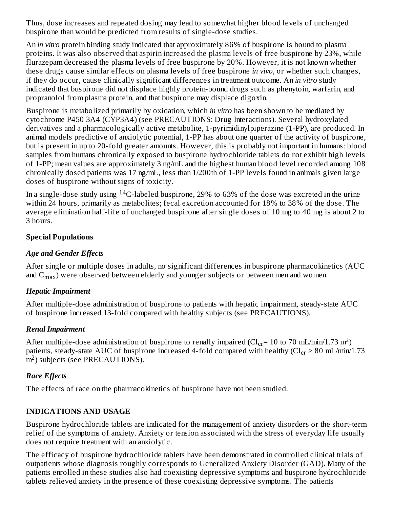Thus, dose increases and repeated dosing may lead to somewhat higher blood levels of unchanged buspirone than would be predicted from results of single-dose studies.

An *in vitro* protein binding study indicated that approximately 86% of buspirone is bound to plasma proteins. It was also observed that aspirin increased the plasma levels of free buspirone by 23%, while flurazepam decreased the plasma levels of free buspirone by 20%. However, it is not known whether these drugs cause similar effects on plasma levels of free buspirone *in vivo*, or whether such changes, if they do occur, cause clinically significant differences in treatment outcome. An *in vitro* study indicated that buspirone did not displace highly protein-bound drugs such as phenytoin, warfarin, and propranolol from plasma protein, and that buspirone may displace digoxin.

Buspirone is metabolized primarily by oxidation, which *in vitro* has been shown to be mediated by cytochrome P450 3A4 (CYP3A4) (see PRECAUTIONS: Drug Interactions). Several hydroxylated derivatives and a pharmacologically active metabolite, 1-pyrimidinylpiperazine (1-PP), are produced. In animal models predictive of anxiolytic potential, 1-PP has about one quarter of the activity of buspirone, but is present in up to 20-fold greater amounts. However, this is probably not important in humans: blood samples from humans chronically exposed to buspirone hydrochloride tablets do not exhibit high levels of 1-PP; mean values are approximately 3 ng/mL and the highest human blood level recorded among 108 chronically dosed patients was 17 ng/mL, less than 1/200th of 1-PP levels found in animals given large doses of buspirone without signs of toxicity.

In a single-dose study using  $^{14}$ C-labeled buspirone, 29% to 63% of the dose was excreted in the urine within 24 hours, primarily as metabolites; fecal excretion accounted for 18% to 38% of the dose. The average elimination half-life of unchanged buspirone after single doses of 10 mg to 40 mg is about 2 to 3 hours.

#### **Special Populations**

#### *Age and Gender Effects*

After single or multiple doses in adults, no significant differences in buspirone pharmacokinetics (AUC and  $\rm C_{max}$ ) were observed between elderly and younger subjects or between men and women.

## *Hepatic Impairment*

After multiple-dose administration of buspirone to patients with hepatic impairment, steady-state AUC of buspirone increased 13-fold compared with healthy subjects (see PRECAUTIONS).

## *Renal Impairment*

After multiple-dose administration of buspirone to renally impaired (Cl $_{\rm cr}$ = 10 to 70 mL/min/1.73 m<sup>2</sup>) patients, steady-state AUC of buspirone increased 4-fold compared with healthy (Cl $_{\rm cr}$   $\geq$  80 mL/min/1.73  $\overline{m}^2$ ) subjects (see PRECAUTIONS).

## *Race Effects*

The effects of race on the pharmacokinetics of buspirone have not been studied.

## **INDICATIONS AND USAGE**

Buspirone hydrochloride tablets are indicated for the management of anxiety disorders or the short-term relief of the symptoms of anxiety. Anxiety or tension associated with the stress of everyday life usually does not require treatment with an anxiolytic.

The efficacy of buspirone hydrochloride tablets have been demonstrated in controlled clinical trials of outpatients whose diagnosis roughly corresponds to Generalized Anxiety Disorder (GAD). Many of the patients enrolled in these studies also had coexisting depressive symptoms and buspirone hydrochloride tablets relieved anxiety in the presence of these coexisting depressive symptoms. The patients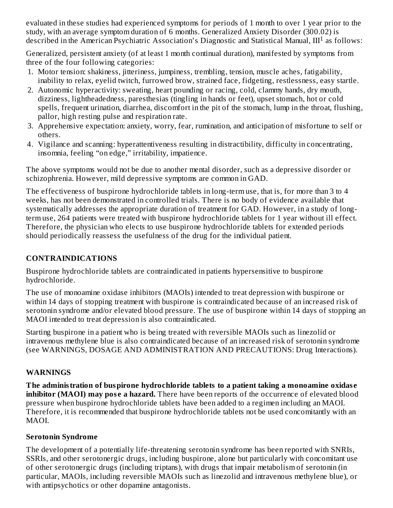evaluated in these studies had experienced symptoms for periods of 1 month to over 1 year prior to the study, with an average symptom duration of 6 months. Generalized Anxiety Disorder (300.02) is described in the American Psychiatric Association's Diagnostic and Statistical Manual,  $III<sup>1</sup>$  as follows:

Generalized, persistent anxiety (of at least 1 month continual duration), manifested by symptoms from three of the four following categories:

- 1. Motor tension: shakiness, jitteriness, jumpiness, trembling, tension, muscle aches, fatigability, inability to relax, eyelid twitch, furrowed brow, strained face, fidgeting, restlessness, easy startle.
- 2. Autonomic hyperactivity: sweating, heart pounding or racing, cold, clammy hands, dry mouth, dizziness, lightheadedness, paresthesias (tingling in hands or feet), upset stomach, hot or cold spells, frequent urination, diarrhea, discomfort in the pit of the stomach, lump in the throat, flushing, pallor, high resting pulse and respiration rate.
- 3. Apprehensive expectation: anxiety, worry, fear, rumination, and anticipation of misfortune to self or others.
- 4. Vigilance and scanning: hyperattentiveness resulting in distractibility, difficulty in concentrating, insomnia, feeling "on edge," irritability, impatience.

The above symptoms would not be due to another mental disorder, such as a depressive disorder or schizophrenia. However, mild depressive symptoms are common in GAD.

The effectiveness of buspirone hydrochloride tablets in long-term use, that is, for more than 3 to 4 weeks, has not been demonstrated in controlled trials. There is no body of evidence available that systematically addresses the appropriate duration of treatment for GAD. However, in a study of longterm use, 264 patients were treated with buspirone hydrochloride tablets for 1 year without ill effect. Therefore, the physician who elects to use buspirone hydrochloride tablets for extended periods should periodically reassess the usefulness of the drug for the individual patient.

#### **CONTRAINDICATIONS**

Buspirone hydrochloride tablets are contraindicated in patients hypersensitive to buspirone hydrochloride.

The use of monoamine oxidase inhibitors (MAOIs) intended to treat depression with buspirone or within 14 days of stopping treatment with buspirone is contraindicated because of an increased risk of serotonin syndrome and/or elevated blood pressure. The use of buspirone within 14 days of stopping an MAOI intended to treat depression is also contraindicated.

Starting buspirone in a patient who is being treated with reversible MAOIs such as linezolid or intravenous methylene blue is also contraindicated because of an increased risk of serotonin syndrome (see WARNINGS, DOSAGE AND ADMINISTRATION AND PRECAUTIONS: Drug Interactions).

#### **WARNINGS**

**The administration of buspirone hydrochloride tablets to a patient taking a monoamine oxidas e inhibitor (MAOI) may pos e a hazard.** There have been reports of the occurrence of elevated blood pressure when buspirone hydrochloride tablets have been added to a regimen including an MAOI. Therefore, it is recommended that buspirone hydrochloride tablets not be used concomitantly with an MAOI.

#### **Serotonin Syndrome**

The development of a potentially life-threatening serotonin syndrome has been reported with SNRIs, SSRIs, and other serotonergic drugs, including buspirone, alone but particularly with concomitant use of other serotonergic drugs (including triptans), with drugs that impair metabolism of serotonin (in particular, MAOIs, including reversible MAOIs such as linezolid and intravenous methylene blue), or with antipsychotics or other dopamine antagonists.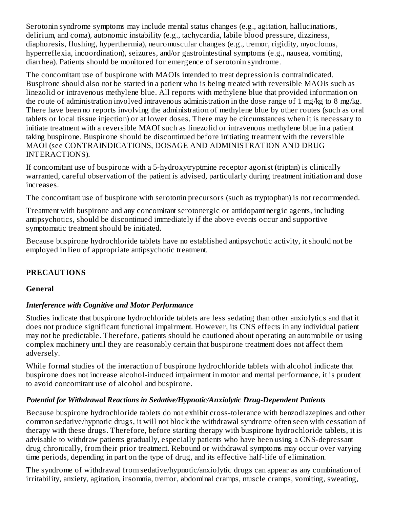Serotonin syndrome symptoms may include mental status changes (e.g., agitation, hallucinations, delirium, and coma), autonomic instability (e.g., tachycardia, labile blood pressure, dizziness, diaphoresis, flushing, hyperthermia), neuromuscular changes (e.g., tremor, rigidity, myoclonus, hyperreflexia, incoordination), seizures, and/or gastrointestinal symptoms (e.g., nausea, vomiting, diarrhea). Patients should be monitored for emergence of serotonin syndrome.

The concomitant use of buspirone with MAOIs intended to treat depression is contraindicated. Buspirone should also not be started in a patient who is being treated with reversible MAOIs such as linezolid or intravenous methylene blue. All reports with methylene blue that provided information on the route of administration involved intravenous administration in the dose range of 1 mg/kg to 8 mg/kg. There have been no reports involving the administration of methylene blue by other routes (such as oral tablets or local tissue injection) or at lower doses. There may be circumstances when it is necessary to initiate treatment with a reversible MAOI such as linezolid or intravenous methylene blue in a patient taking buspirone. Buspirone should be discontinued before initiating treatment with the reversible MAOI (see CONTRAINDICATIONS, DOSAGE AND ADMINISTRATION AND DRUG INTERACTIONS).

If concomitant use of buspirone with a 5-hydroxytryptmine receptor agonist (triptan) is clinically warranted, careful observation of the patient is advised, particularly during treatment initiation and dose increases.

The concomitant use of buspirone with serotonin precursors (such as tryptophan) is not recommended.

Treatment with buspirone and any concomitant serotonergic or antidopaminergic agents, including antipsychotics, should be discontinued immediately if the above events occur and supportive symptomatic treatment should be initiated.

Because buspirone hydrochloride tablets have no established antipsychotic activity, it should not be employed in lieu of appropriate antipsychotic treatment.

#### **PRECAUTIONS**

#### **General**

#### *Interference with Cognitive and Motor Performance*

Studies indicate that buspirone hydrochloride tablets are less sedating than other anxiolytics and that it does not produce significant functional impairment. However, its CNS effects in any individual patient may not be predictable. Therefore, patients should be cautioned about operating an automobile or using complex machinery until they are reasonably certain that buspirone treatment does not affect them adversely.

While formal studies of the interaction of buspirone hydrochloride tablets with alcohol indicate that buspirone does not increase alcohol-induced impairment in motor and mental performance, it is prudent to avoid concomitant use of alcohol and buspirone.

#### *Potential for Withdrawal Reactions in Sedative/Hypnotic/Anxiolytic Drug-Dependent Patients*

Because buspirone hydrochloride tablets do not exhibit cross-tolerance with benzodiazepines and other common sedative/hypnotic drugs, it will not block the withdrawal syndrome often seen with cessation of therapy with these drugs. Therefore, before starting therapy with buspirone hydrochloride tablets, it is advisable to withdraw patients gradually, especially patients who have been using a CNS-depressant drug chronically, from their prior treatment. Rebound or withdrawal symptoms may occur over varying time periods, depending in part on the type of drug, and its effective half-life of elimination.

The syndrome of withdrawal from sedative/hypnotic/anxiolytic drugs can appear as any combination of irritability, anxiety, agitation, insomnia, tremor, abdominal cramps, muscle cramps, vomiting, sweating,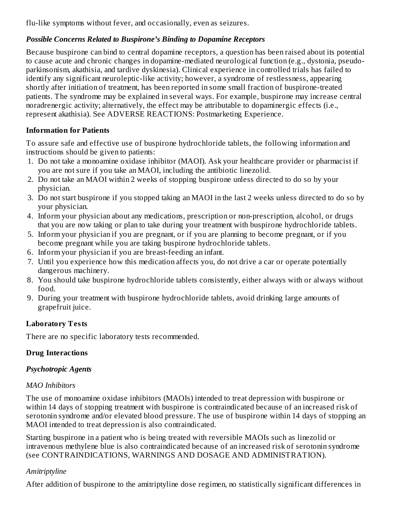flu-like symptoms without fever, and occasionally, even as seizures.

#### *Possible Concerns Related to Buspirone's Binding to Dopamine Receptors*

Because buspirone can bind to central dopamine receptors, a question has been raised about its potential to cause acute and chronic changes in dopamine-mediated neurological function (e.g., dystonia, pseudoparkinsonism, akathisia, and tardive dyskinesia). Clinical experience in controlled trials has failed to identify any significant neuroleptic-like activity; however, a syndrome of restlessness, appearing shortly after initiation of treatment, has been reported in some small fraction of buspirone-treated patients. The syndrome may be explained in several ways. For example, buspirone may increase central noradrenergic activity; alternatively, the effect may be attributable to dopaminergic effects (i.e., represent akathisia). See ADVERSE REACTIONS: Postmarketing Experience.

#### **Information for Patients**

To assure safe and effective use of buspirone hydrochloride tablets, the following information and instructions should be given to patients:

- 1. Do not take a monoamine oxidase inhibitor (MAOI). Ask your healthcare provider or pharmacist if you are not sure if you take an MAOI, including the antibiotic linezolid.
- 2. Do not take an MAOI within 2 weeks of stopping buspirone unless directed to do so by your physician.
- 3. Do not start buspirone if you stopped taking an MAOI in the last 2 weeks unless directed to do so by your physician.
- 4. Inform your physician about any medications, prescription or non-prescription, alcohol, or drugs that you are now taking or plan to take during your treatment with buspirone hydrochloride tablets.
- 5. Inform your physician if you are pregnant, or if you are planning to become pregnant, or if you become pregnant while you are taking buspirone hydrochloride tablets.
- 6. Inform your physician if you are breast-feeding an infant.
- 7. Until you experience how this medication affects you, do not drive a car or operate potentially dangerous machinery.
- 8. You should take buspirone hydrochloride tablets consistently, either always with or always without food.
- 9. During your treatment with buspirone hydrochloride tablets, avoid drinking large amounts of grapefruit juice.

## **Laboratory Tests**

There are no specific laboratory tests recommended.

## **Drug Interactions**

## *Psychotropic Agents*

## *MAO Inhibitors*

The use of monoamine oxidase inhibitors (MAOIs) intended to treat depression with buspirone or within 14 days of stopping treatment with buspirone is contraindicated because of an increased risk of serotonin syndrome and/or elevated blood pressure. The use of buspirone within 14 days of stopping an MAOI intended to treat depression is also contraindicated.

Starting buspirone in a patient who is being treated with reversible MAOIs such as linezolid or intravenous methylene blue is also contraindicated because of an increased risk of serotonin syndrome (see CONTRAINDICATIONS, WARNINGS AND DOSAGE AND ADMINISTRATION).

## *Amitriptyline*

After addition of buspirone to the amitriptyline dose regimen, no statistically significant differences in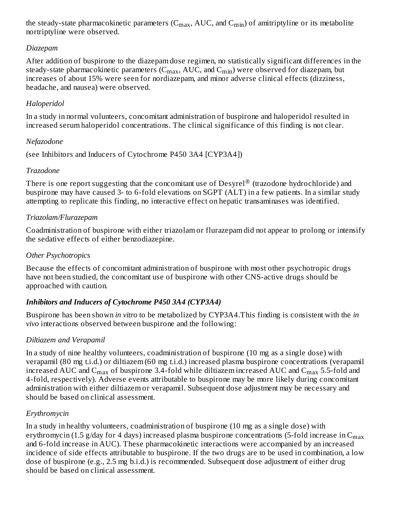the steady-state pharmacokinetic parameters (C $_{\rm max}$ , AUC, and C $_{\rm min}$ ) of amitriptyline or its metabolite nortriptyline were observed.

#### *Diazepam*

After addition of buspirone to the diazepam dose regimen, no statistically significant differences in the steady-state pharmacokinetic parameters (C $_{\rm max}$ , AUC, and C $_{\rm min}$ ) were observed for diazepam, but increases of about 15% were seen for nordiazepam, and minor adverse clinical effects (dizziness, headache, and nausea) were observed.

#### *Haloperidol*

In a study in normal volunteers, concomitant administration of buspirone and haloperidol resulted in increased serum haloperidol concentrations. The clinical significance of this finding is not clear.

#### *Nefazodone*

(see Inhibitors and Inducers of Cytochrome P450 3A4 [CYP3A4])

#### *Trazodone*

There is one report suggesting that the concomitant use of Desyrel $^{\circledR}$  (trazodone hydrochloride) and buspirone may have caused 3- to 6-fold elevations on SGPT (ALT) in a few patients. In a similar study attempting to replicate this finding, no interactive effect on hepatic transaminases was identified.

#### *Triazolam/Flurazepam*

Coadministration of buspirone with either triazolam or flurazepam did not appear to prolong or intensify the sedative effects of either benzodiazepine.

#### *Other Psychotropics*

Because the effects of concomitant administration of buspirone with most other psychotropic drugs have not been studied, the concomitant use of buspirone with other CNS-active drugs should be approached with caution.

## *Inhibitors and Inducers of Cytochrome P450 3A4 (CYP3A4)*

Buspirone has been shown *in vitro* to be metabolized by CYP3A4.This finding is consistent with the *in vivo* interactions observed between buspirone and the following:

## *Diltiazem and Verapamil*

In a study of nine healthy volunteers, coadministration of buspirone (10 mg as a single dose) with verapamil (80 mg t.i.d.) or diltiazem (60 mg t.i.d.) increased plasma buspirone concentrations (verapamil increased AUC and  $\rm{C_{max}}$  of buspirone 3.4-fold while diltiazem increased AUC and  $\rm{C_{max}}$  5.5-fold and 4-fold, respectively). Adverse events attributable to buspirone may be more likely during concomitant administration with either diltiazem or verapamil. Subsequent dose adjustment may be necessary and should be based on clinical assessment.

## *Erythromycin*

In a study in healthy volunteers, coadministration of buspirone (10 mg as a single dose) with erythromycin (1.5 g/day for 4 days) increased plasma buspirone concentrations (5-fold increase in  $\mathsf{C}_{\max}$ and 6-fold increase in AUC). These pharmacokinetic interactions were accompanied by an increased incidence of side effects attributable to buspirone. If the two drugs are to be used in combination, a low dose of buspirone (e.g., 2.5 mg b.i.d.) is recommended. Subsequent dose adjustment of either drug should be based on clinical assessment.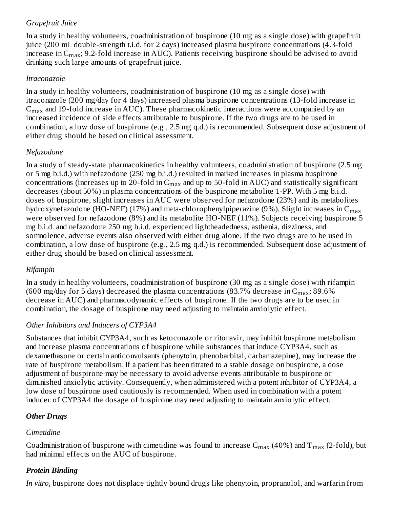## *Grapefruit Juice*

In a study in healthy volunteers, coadministration of buspirone (10 mg as a single dose) with grapefruit juice (200 mL double-strength t.i.d. for 2 days) increased plasma buspirone concentrations (4.3-fold increase in C $_{\rm max}$ ; 9.2-fold increase in AUC). Patients receiving buspirone should be advised to avoid drinking such large amounts of grapefruit juice.

#### *Itraconazole*

In a study in healthy volunteers, coadministration of buspirone (10 mg as a single dose) with itraconazole (200 mg/day for 4 days) increased plasma buspirone concentrations (13-fold increase in  $\rm{C_{max}}$  and 19-fold increase in AUC). These pharmacokinetic interactions were accompanied by an increased incidence of side effects attributable to buspirone. If the two drugs are to be used in combination, a low dose of buspirone (e.g., 2.5 mg q.d.) is recommended. Subsequent dose adjustment of either drug should be based on clinical assessment.

#### *Nefazodone*

In a study of steady-state pharmacokinetics in healthy volunteers, coadministration of buspirone (2.5 mg or 5 mg b.i.d.) with nefazodone (250 mg b.i.d.) resulted in marked increases in plasma buspirone concentrations (increases up to 20-fold in  $\rm{C_{max}}$  and up to 50-fold in AUC) and statistically significant decreases (about 50%) in plasma concentrations of the buspirone metabolite 1-PP. With 5 mg b.i.d. doses of buspirone, slight increases in AUC were observed for nefazodone (23%) and its metabolites hydroxynefazodone (HO-NEF) (17%) and meta-chlorophenylpiperazine (9%). Slight increases in  $\mathsf{C}_{\max}$ were observed for nefazodone (8%) and its metabolite HO-NEF (11%). Subjects receiving buspirone 5 mg b.i.d. and nefazodone 250 mg b.i.d. experienced lightheadedness, asthenia, dizziness, and somnolence, adverse events also observed with either drug alone. If the two drugs are to be used in combination, a low dose of buspirone (e.g., 2.5 mg q.d.) is recommended. Subsequent dose adjustment of either drug should be based on clinical assessment.

#### *Rifampin*

In a study in healthy volunteers, coadministration of buspirone (30 mg as a single dose) with rifampin (600 mg/day for 5 days) decreased the plasma concentrations (83.7% decrease in  $\rm{C_{max}}$ ; 89.6% decrease in AUC) and pharmacodynamic effects of buspirone. If the two drugs are to be used in combination, the dosage of buspirone may need adjusting to maintain anxiolytic effect.

## *Other Inhibitors and Inducers of CYP3A4*

Substances that inhibit CYP3A4, such as ketoconazole or ritonavir, may inhibit buspirone metabolism and increase plasma concentrations of buspirone while substances that induce CYP3A4, such as dexamethasone or certain anticonvulsants (phenytoin, phenobarbital, carbamazepine), may increase the rate of buspirone metabolism. If a patient has been titrated to a stable dosage on buspirone, a dose adjustment of buspirone may be necessary to avoid adverse events attributable to buspirone or diminished anxiolytic activity. Consequently, when administered with a potent inhibitor of CYP3A4, a low dose of buspirone used cautiously is recommended. When used in combination with a potent inducer of CYP3A4 the dosage of buspirone may need adjusting to maintain anxiolytic effect.

## *Other Drugs*

## *Cimetidine*

Coadministration of buspirone with cimetidine was found to increase  $\rm C_{max}$  (40%) and  $\rm T_{max}$  (2-fold), but had minimal effects on the AUC of buspirone.

## *Protein Binding*

*In vitro*, buspirone does not displace tightly bound drugs like phenytoin, propranolol, and warfarin from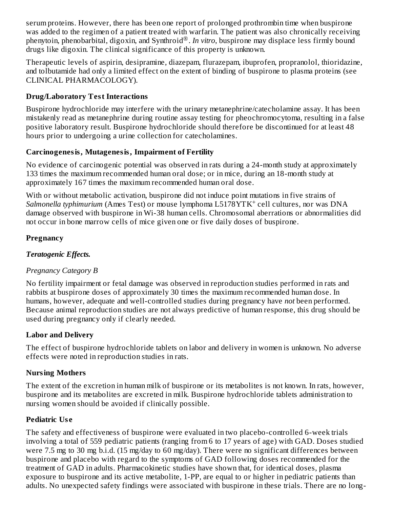serum proteins. However, there has been one report of prolonged prothrombin time when buspirone was added to the regimen of a patient treated with warfarin. The patient was also chronically receiving phenytoin, phenobarbital, digoxin, and Synthroid®. In vitro, buspirone may displace less firmly bound drugs like digoxin. The clinical significance of this property is unknown.

Therapeutic levels of aspirin, desipramine, diazepam, flurazepam, ibuprofen, propranolol, thioridazine, and tolbutamide had only a limited effect on the extent of binding of buspirone to plasma proteins (see CLINICAL PHARMACOLOGY).

## **Drug/Laboratory Test Interactions**

Buspirone hydrochloride may interfere with the urinary metanephrine/catecholamine assay. It has been mistakenly read as metanephrine during routine assay testing for pheochromocytoma, resulting in a false positive laboratory result. Buspirone hydrochloride should therefore be discontinued for at least 48 hours prior to undergoing a urine collection for catecholamines.

## **Carcinogenesis, Mutagenesis, Impairment of Fertility**

No evidence of carcinogenic potential was observed in rats during a 24-month study at approximately 133 times the maximum recommended human oral dose; or in mice, during an 18-month study at approximately 167 times the maximum recommended human oral dose.

With or without metabolic activation, buspirone did not induce point mutations in five strains of Salmonella *typhimurium* (Ames Test) or mouse lymphoma L5178YTK<sup>+</sup> cell cultures, nor was DNA damage observed with buspirone in Wi-38 human cells. Chromosomal aberrations or abnormalities did not occur in bone marrow cells of mice given one or five daily doses of buspirone.

#### **Pregnancy**

## *Teratogenic Effects.*

## *Pregnancy Category B*

No fertility impairment or fetal damage was observed in reproduction studies performed in rats and rabbits at buspirone doses of approximately 30 times the maximum recommended human dose. In humans, however, adequate and well-controlled studies during pregnancy have *not* been performed. Because animal reproduction studies are not always predictive of human response, this drug should be used during pregnancy only if clearly needed.

## **Labor and Delivery**

The effect of buspirone hydrochloride tablets on labor and delivery in women is unknown. No adverse effects were noted in reproduction studies in rats.

## **Nursing Mothers**

The extent of the excretion in human milk of buspirone or its metabolites is not known. In rats, however, buspirone and its metabolites are excreted in milk. Buspirone hydrochloride tablets administration to nursing women should be avoided if clinically possible.

## **Pediatric Us e**

The safety and effectiveness of buspirone were evaluated in two placebo-controlled 6-week trials involving a total of 559 pediatric patients (ranging from 6 to 17 years of age) with GAD. Doses studied were 7.5 mg to 30 mg b.i.d. (15 mg/day to 60 mg/day). There were no significant differences between buspirone and placebo with regard to the symptoms of GAD following doses recommended for the treatment of GAD in adults. Pharmacokinetic studies have shown that, for identical doses, plasma exposure to buspirone and its active metabolite, 1-PP, are equal to or higher in pediatric patients than adults. No unexpected safety findings were associated with buspirone in these trials. There are no long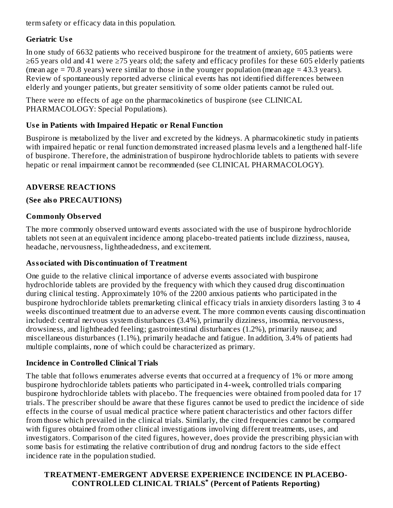term safety or efficacy data in this population.

# **Geriatric Us e**

In one study of 6632 patients who received buspirone for the treatment of anxiety, 605 patients were ≥65 years old and 41 were ≥75 years old; the safety and efficacy profiles for these 605 elderly patients (mean age  $= 70.8$  years) were similar to those in the younger population (mean age  $= 43.3$  years). Review of spontaneously reported adverse clinical events has not identified differences between elderly and younger patients, but greater sensitivity of some older patients cannot be ruled out.

There were no effects of age on the pharmacokinetics of buspirone (see CLINICAL PHARMACOLOGY: Special Populations).

# **Us e in Patients with Impaired Hepatic or Renal Function**

Buspirone is metabolized by the liver and excreted by the kidneys. A pharmacokinetic study in patients with impaired hepatic or renal function demonstrated increased plasma levels and a lengthened half-life of buspirone. Therefore, the administration of buspirone hydrochloride tablets to patients with severe hepatic or renal impairment cannot be recommended (see CLINICAL PHARMACOLOGY).

# **ADVERSE REACTIONS**

# **(See also PRECAUTIONS)**

# **Commonly Obs erved**

The more commonly observed untoward events associated with the use of buspirone hydrochloride tablets not seen at an equivalent incidence among placebo-treated patients include dizziness, nausea, headache, nervousness, lightheadedness, and excitement.

## **Associated with Dis continuation of Treatment**

One guide to the relative clinical importance of adverse events associated with buspirone hydrochloride tablets are provided by the frequency with which they caused drug discontinuation during clinical testing. Approximately 10% of the 2200 anxious patients who participated in the buspirone hydrochloride tablets premarketing clinical efficacy trials in anxiety disorders lasting 3 to 4 weeks discontinued treatment due to an adverse event. The more common events causing discontinuation included: central nervous system disturbances (3.4%), primarily dizziness, insomnia, nervousness, drowsiness, and lightheaded feeling; gastrointestinal disturbances (1.2%), primarily nausea; and miscellaneous disturbances (1.1%), primarily headache and fatigue. In addition, 3.4% of patients had multiple complaints, none of which could be characterized as primary.

## **Incidence in Controlled Clinical Trials**

The table that follows enumerates adverse events that occurred at a frequency of 1% or more among buspirone hydrochloride tablets patients who participated in 4-week, controlled trials comparing buspirone hydrochloride tablets with placebo. The frequencies were obtained from pooled data for 17 trials. The prescriber should be aware that these figures cannot be used to predict the incidence of side effects in the course of usual medical practice where patient characteristics and other factors differ from those which prevailed in the clinical trials. Similarly, the cited frequencies cannot be compared with figures obtained from other clinical investigations involving different treatments, uses, and investigators. Comparison of the cited figures, however, does provide the prescribing physician with some basis for estimating the relative contribution of drug and nondrug factors to the side effect incidence rate in the population studied.

## **TREATMENT-EMERGENT ADVERSE EXPERIENCE INCIDENCE IN PLACEBO-CONTROLLED CLINICAL TRIALS (Percent of Patients Reporting) \***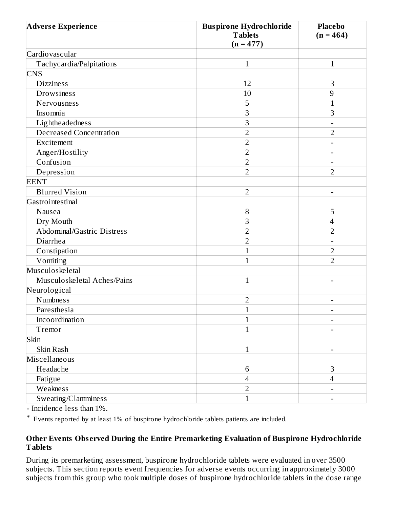| <b>Adverse Experience</b>      | <b>Buspirone Hydrochloride</b><br><b>Tablets</b><br>$(n = 477)$ | <b>Placebo</b><br>$(n = 464)$ |
|--------------------------------|-----------------------------------------------------------------|-------------------------------|
| Cardiovascular                 |                                                                 |                               |
| Tachycardia/Palpitations       | $\mathbf{1}$                                                    | $\mathbf{1}$                  |
| <b>CNS</b>                     |                                                                 |                               |
| <b>Dizziness</b>               | 12                                                              | 3                             |
| Drowsiness                     | 10                                                              | 9                             |
| Nervousness                    | 5                                                               | $\overline{1}$                |
| Insomnia                       | 3                                                               | 3                             |
| Lightheadedness                | 3                                                               |                               |
| <b>Decreased Concentration</b> | $\overline{2}$                                                  | $\overline{2}$                |
| Excitement                     | $\overline{2}$                                                  | $\overline{\phantom{0}}$      |
| Anger/Hostility                | $\overline{2}$                                                  |                               |
| Confusion                      | $\overline{2}$                                                  |                               |
| Depression                     | $\overline{2}$                                                  | $\overline{2}$                |
| <b>EENT</b>                    |                                                                 |                               |
| <b>Blurred Vision</b>          | $\overline{2}$                                                  |                               |
| Gastrointestinal               |                                                                 |                               |
| Nausea                         | 8                                                               | 5                             |
| Dry Mouth                      | 3                                                               | $\overline{4}$                |
| Abdominal/Gastric Distress     | $\overline{2}$                                                  | $\overline{2}$                |
| Diarrhea                       | $\overline{2}$                                                  |                               |
| Constipation                   | $\mathbf{1}$                                                    | $\overline{2}$                |
| Vomiting                       | $\mathbf{1}$                                                    | $\overline{2}$                |
| Musculoskeletal                |                                                                 |                               |
| Musculoskeletal Aches/Pains    | $\mathbf{1}$                                                    |                               |
| Neurological                   |                                                                 |                               |
| <b>Numbness</b>                | $\overline{2}$                                                  |                               |
| Paresthesia                    |                                                                 |                               |
| Incoordination                 | $\mathbf{1}$                                                    |                               |
| Tremor                         | $\mathbf{1}$                                                    |                               |
| Skin                           |                                                                 |                               |
| Skin Rash                      | $\mathbf{1}$                                                    |                               |
| Miscellaneous                  |                                                                 |                               |
| Headache                       | 6                                                               | 3                             |
| Fatigue                        | 4                                                               | $\overline{4}$                |
| Weakness                       | $\overline{2}$                                                  |                               |
| Sweating/Clamminess            | $\mathbf{1}$                                                    |                               |

- Incidence less than 1%.

\* Events reported by at least 1% of buspirone hydrochloride tablets patients are included.

#### **Other Events Obs erved During the Entire Premarketing Evaluation of Buspirone Hydrochloride Tablets**

During its premarketing assessment, buspirone hydrochloride tablets were evaluated in over 3500 subjects. This section reports event frequencies for adverse events occurring in approximately 3000 subjects from this group who took multiple doses of buspirone hydrochloride tablets in the dose range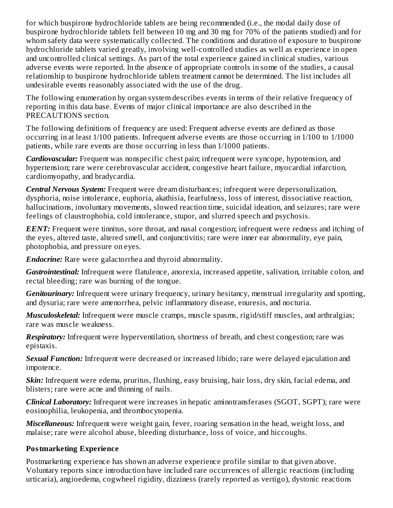for which buspirone hydrochloride tablets are being recommended (i.e., the modal daily dose of buspirone hydrochloride tablets fell between 10 mg and 30 mg for 70% of the patients studied) and for whom safety data were systematically collected. The conditions and duration of exposure to buspirone hydrochloride tablets varied greatly, involving well-controlled studies as well as experience in open and uncontrolled clinical settings. As part of the total experience gained in clinical studies, various adverse events were reported. In the absence of appropriate controls in some of the studies, a causal relationship to buspirone hydrochloride tablets treatment cannot be determined. The list includes all undesirable events reasonably associated with the use of the drug.

The following enumeration by organ system describes events in terms of their relative frequency of reporting in this data base. Events of major clinical importance are also described in the PRECAUTIONS section.

The following definitions of frequency are used: Frequent adverse events are defined as those occurring in at least 1/100 patients. Infrequent adverse events are those occurring in 1/100 to 1/1000 patients, while rare events are those occurring in less than 1/1000 patients.

*Cardiovascular:* Frequent was nonspecific chest pain; infrequent were syncope, hypotension, and hypertension; rare were cerebrovascular accident, congestive heart failure, myocardial infarction, cardiomyopathy, and bradycardia.

*Central Nervous System:* Frequent were dream disturbances; infrequent were depersonalization, dysphoria, noise intolerance, euphoria, akathisia, fearfulness, loss of interest, dissociative reaction, hallucinations, involuntary movements, slowed reaction time, suicidal ideation, and seizures; rare were feelings of claustrophobia, cold intolerance, stupor, and slurred speech and psychosis.

*EENT:* Frequent were tinnitus, sore throat, and nasal congestion; infrequent were redness and itching of the eyes, altered taste, altered smell, and conjunctivitis; rare were inner ear abnormality, eye pain, photophobia, and pressure on eyes.

*Endocrine:* Rare were galactorrhea and thyroid abnormality.

*Gastrointestinal:* Infrequent were flatulence, anorexia, increased appetite, salivation, irritable colon, and rectal bleeding; rare was burning of the tongue.

*Genitourinary:* Infrequent were urinary frequency, urinary hesitancy, menstrual irregularity and spotting, and dysuria; rare were amenorrhea, pelvic inflammatory disease, enuresis, and nocturia.

*Musculoskeletal:* Infrequent were muscle cramps, muscle spasms, rigid/stiff muscles, and arthralgias; rare was muscle weakness.

*Respiratory:* Infrequent were hyperventilation, shortness of breath, and chest congestion; rare was epistaxis.

*Sexual Function:* Infrequent were decreased or increased libido; rare were delayed ejaculation and impotence.

*Skin:* Infrequent were edema, pruritus, flushing, easy bruising, hair loss, dry skin, facial edema, and blisters; rare were acne and thinning of nails.

*Clinical Laboratory:* Infrequent were increases in hepatic aminotransferases (SGOT, SGPT); rare were eosinophilia, leukopenia, and thrombocytopenia.

*Miscellaneous:* Infrequent were weight gain, fever, roaring sensation in the head, weight loss, and malaise; rare were alcohol abuse, bleeding disturbance, loss of voice, and hiccoughs.

#### **Postmarketing Experience**

Postmarketing experience has shown an adverse experience profile similar to that given above. Voluntary reports since introduction have included rare occurrences of allergic reactions (including urticaria), angioedema, cogwheel rigidity, dizziness (rarely reported as vertigo), dystonic reactions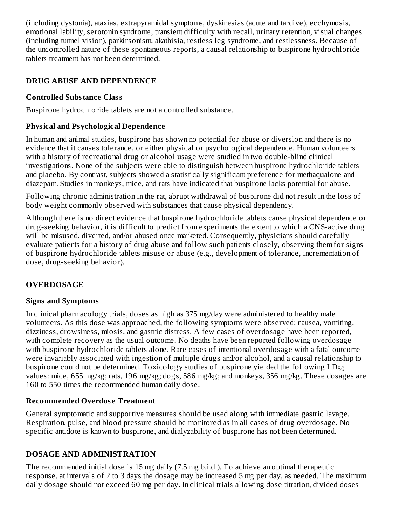(including dystonia), ataxias, extrapyramidal symptoms, dyskinesias (acute and tardive), ecchymosis, emotional lability, serotonin syndrome, transient difficulty with recall, urinary retention, visual changes (including tunnel vision), parkinsonism, akathisia, restless leg syndrome, and restlessness. Because of the uncontrolled nature of these spontaneous reports, a causal relationship to buspirone hydrochloride tablets treatment has not been determined.

## **DRUG ABUSE AND DEPENDENCE**

## **Controlled Substance Class**

Buspirone hydrochloride tablets are not a controlled substance.

# **Physical and Psychological Dependence**

In human and animal studies, buspirone has shown no potential for abuse or diversion and there is no evidence that it causes tolerance, or either physical or psychological dependence. Human volunteers with a history of recreational drug or alcohol usage were studied in two double-blind clinical investigations. None of the subjects were able to distinguish between buspirone hydrochloride tablets and placebo. By contrast, subjects showed a statistically significant preference for methaqualone and diazepam. Studies in monkeys, mice, and rats have indicated that buspirone lacks potential for abuse.

Following chronic administration in the rat, abrupt withdrawal of buspirone did not result in the loss of body weight commonly observed with substances that cause physical dependency.

Although there is no direct evidence that buspirone hydrochloride tablets cause physical dependence or drug-seeking behavior, it is difficult to predict from experiments the extent to which a CNS-active drug will be misused, diverted, and/or abused once marketed. Consequently, physicians should carefully evaluate patients for a history of drug abuse and follow such patients closely, observing them for signs of buspirone hydrochloride tablets misuse or abuse (e.g., development of tolerance, incrementation of dose, drug-seeking behavior).

# **OVERDOSAGE**

## **Signs and Symptoms**

In clinical pharmacology trials, doses as high as 375 mg/day were administered to healthy male volunteers. As this dose was approached, the following symptoms were observed: nausea, vomiting, dizziness, drowsiness, miosis, and gastric distress. A few cases of overdosage have been reported, with complete recovery as the usual outcome. No deaths have been reported following overdosage with buspirone hydrochloride tablets alone. Rare cases of intentional overdosage with a fatal outcome were invariably associated with ingestion of multiple drugs and/or alcohol, and a causal relationship to buspirone could not be determined. Toxicology studies of buspirone yielded the following  ${\rm LD}_{50}$ values: mice, 655 mg/kg; rats, 196 mg/kg; dogs, 586 mg/kg; and monkeys, 356 mg/kg. These dosages are 160 to 550 times the recommended human daily dose.

#### **Recommended Overdos e Treatment**

General symptomatic and supportive measures should be used along with immediate gastric lavage. Respiration, pulse, and blood pressure should be monitored as in all cases of drug overdosage. No specific antidote is known to buspirone, and dialyzability of buspirone has not been determined.

## **DOSAGE AND ADMINISTRATION**

The recommended initial dose is 15 mg daily (7.5 mg b.i.d.). To achieve an optimal therapeutic response, at intervals of 2 to 3 days the dosage may be increased 5 mg per day, as needed. The maximum daily dosage should not exceed 60 mg per day. In clinical trials allowing dose titration, divided doses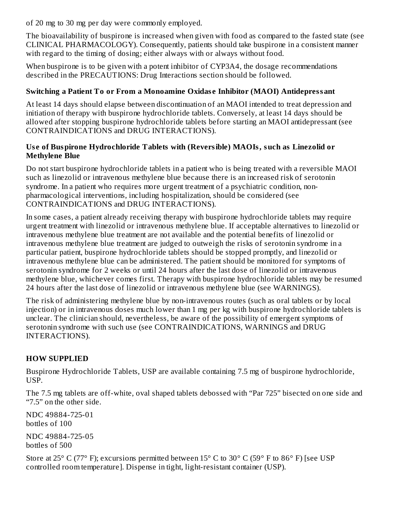of 20 mg to 30 mg per day were commonly employed.

The bioavailability of buspirone is increased when given with food as compared to the fasted state (see CLINICAL PHARMACOLOGY). Consequently, patients should take buspirone in a consistent manner with regard to the timing of dosing; either always with or always without food.

When buspirone is to be given with a potent inhibitor of CYP3A4, the dosage recommendations described in the PRECAUTIONS: Drug Interactions section should be followed.

# **Switching a Patient To or From a Monoamine Oxidas e Inhibitor (MAOI) Antidepressant**

At least 14 days should elapse between discontinuation of an MAOI intended to treat depression and initiation of therapy with buspirone hydrochloride tablets. Conversely, at least 14 days should be allowed after stopping buspirone hydrochloride tablets before starting an MAOI antidepressant (see CONTRAINDICATIONS and DRUG INTERACTIONS).

#### **Us e of Buspirone Hydrochloride Tablets with (Reversible) MAOIs, such as Linezolid or Methylene Blue**

Do not start buspirone hydrochloride tablets in a patient who is being treated with a reversible MAOI such as linezolid or intravenous methylene blue because there is an increased risk of serotonin syndrome. In a patient who requires more urgent treatment of a psychiatric condition, nonpharmacological interventions, including hospitalization, should be considered (see CONTRAINDICATIONS and DRUG INTERACTIONS).

In some cases, a patient already receiving therapy with buspirone hydrochloride tablets may require urgent treatment with linezolid or intravenous methylene blue. If acceptable alternatives to linezolid or intravenous methylene blue treatment are not available and the potential benefits of linezolid or intravenous methylene blue treatment are judged to outweigh the risks of serotonin syndrome in a particular patient, buspirone hydrochloride tablets should be stopped promptly, and linezolid or intravenous methylene blue can be administered. The patient should be monitored for symptoms of serotonin syndrome for 2 weeks or until 24 hours after the last dose of linezolid or intravenous methylene blue, whichever comes first. Therapy with buspirone hydrochloride tablets may be resumed 24 hours after the last dose of linezolid or intravenous methylene blue (see WARNINGS).

The risk of administering methylene blue by non-intravenous routes (such as oral tablets or by local injection) or in intravenous doses much lower than 1 mg per kg with buspirone hydrochloride tablets is unclear. The clinician should, nevertheless, be aware of the possibility of emergent symptoms of serotonin syndrome with such use (see CONTRAINDICATIONS, WARNINGS and DRUG INTERACTIONS).

# **HOW SUPPLIED**

Buspirone Hydrochloride Tablets, USP are available containing 7.5 mg of buspirone hydrochloride, USP.

The 7.5 mg tablets are off-white, oval shaped tablets debossed with "Par 725" bisected on one side and "7.5" on the other side.

NDC 49884-725-01 bottles of 100

NDC 49884-725-05 bottles of 500

Store at 25 $\degree$  C (77 $\degree$  F); excursions permitted between 15 $\degree$  C to 30 $\degree$  C (59 $\degree$  F to 86 $\degree$  F) [see USP controlled room temperature]. Dispense in tight, light-resistant container (USP).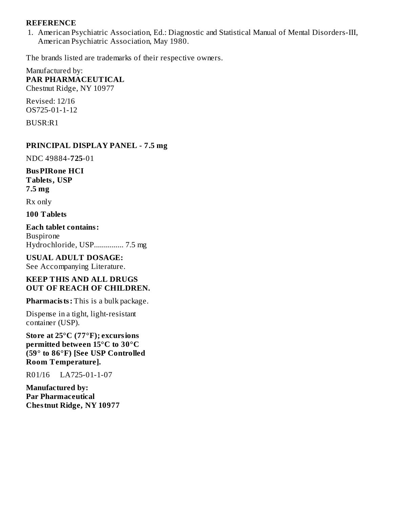#### **REFERENCE**

1. American Psychiatric Association, Ed.: Diagnostic and Statistical Manual of Mental Disorders-III, American Psychiatric Association, May 1980.

The brands listed are trademarks of their respective owners.

Manufactured by: **PAR PHARMACEUTICAL** Chestnut Ridge, NY 10977

Revised: 12/16 OS725-01-1-12

BUSR:R1

#### **PRINCIPAL DISPLAY PANEL - 7.5 mg**

NDC 49884-**725**-01

**BusPIRone HCI Tablets, USP 7.5 mg**

Rx only

**100 Tablets**

**Each tablet contains:** Buspirone Hydrochloride, USP............... 7.5 mg

# **USUAL ADULT DOSAGE:**

See Accompanying Literature.

#### **KEEP THIS AND ALL DRUGS OUT OF REACH OF CHILDREN.**

**Pharmacists:** This is a bulk package.

Dispense in a tight, light-resistant container (USP).

**Store at 25°C (77°F); excursions permitted between 15°C to 30°C (59° to 86°F) [See USP Controlled Room Temperature].**

R01/16 LA725-01-1-07

**Manufactured by: Par Pharmaceutical Chestnut Ridge, NY 10977**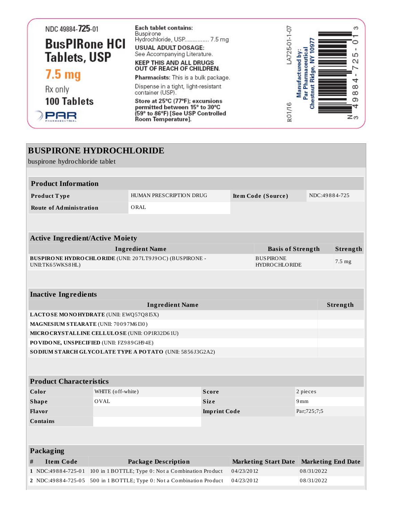| NDC 49884-725-01                            | Each tablet contains:<br>Buspirone                                | ო                        |
|---------------------------------------------|-------------------------------------------------------------------|--------------------------|
|                                             | Hydrochloride, USP 7.5 mg                                         |                          |
| <b>BusPIRone HCI</b><br><b>Tablets, USP</b> | <b>USUAL ADULT DOSAGE:</b><br>See Accompanying Literature.        | ഥ                        |
|                                             | <b>KEEP THIS AND ALL DRUGS</b><br>OUT OF REACH OF CHILDREN.       |                          |
| 7.5 <sub>mg</sub>                           | Pharmacists: This is a bulk package.                              |                          |
| Rx only                                     | Dispense in a tight, light-resistant<br>container (USP).          | $^\infty$<br>$\infty$    |
| <b>100 Tablets</b>                          | Store at 25°C (77°F); excursions<br>permitted between 15° to 30°C | თ                        |
|                                             | (59° to 86°F) [See USP Controlled<br>Room Temperature].           | RO <sub>1</sub> /1<br>zω |

| <b>BUSPIRONE HYDROCHLORIDE</b><br>buspirone hydrochloride tablet                                     |                        |                                                                  |              |                |                                          |                           |          |
|------------------------------------------------------------------------------------------------------|------------------------|------------------------------------------------------------------|--------------|----------------|------------------------------------------|---------------------------|----------|
|                                                                                                      |                        |                                                                  |              |                |                                          |                           |          |
| <b>Product Information</b>                                                                           |                        |                                                                  |              |                |                                          |                           |          |
| Product Type                                                                                         |                        | HUMAN PRESCRIPTION DRUG<br>Item Code (Source)                    |              |                | NDC:49884-725                            |                           |          |
| <b>Route of Administration</b>                                                                       |                        | ORAL                                                             |              |                |                                          |                           |          |
|                                                                                                      |                        |                                                                  |              |                |                                          |                           |          |
|                                                                                                      |                        |                                                                  |              |                |                                          |                           |          |
| <b>Active Ingredient/Active Moiety</b>                                                               |                        |                                                                  |              |                |                                          |                           |          |
|                                                                                                      |                        | <b>Ingredient Name</b>                                           |              |                | <b>Basis of Strength</b>                 |                           | Strength |
| UNII:TK65WKS8HL)                                                                                     |                        | BUSPIRONE HYDROCHLORIDE (UNII: 207LT9J9OC) (BUSPIRONE -          |              |                | <b>BUSPIRONE</b><br><b>HYDROCHLORIDE</b> |                           | 7.5 mg   |
|                                                                                                      |                        |                                                                  |              |                |                                          |                           |          |
|                                                                                                      |                        |                                                                  |              |                |                                          |                           |          |
| <b>Inactive Ingredients</b>                                                                          |                        |                                                                  |              |                |                                          |                           |          |
|                                                                                                      | <b>Ingredient Name</b> |                                                                  |              |                |                                          | Strength                  |          |
| LACTOSE MONOHYDRATE (UNII: EWQ57Q8I5X)                                                               |                        |                                                                  |              |                |                                          |                           |          |
| MAGNESIUM STEARATE (UNII: 70097M6I30)                                                                |                        |                                                                  |              |                |                                          |                           |          |
| MICRO CRYSTALLINE CELLULO SE (UNII: OP1R32D61U)                                                      |                        |                                                                  |              |                |                                          |                           |          |
| PO VIDONE, UNSPECIFIED (UNII: FZ989GH94E)                                                            |                        |                                                                  |              |                |                                          |                           |          |
|                                                                                                      |                        | SODIUM STARCH GLYCOLATE TYPE A POTATO (UNII: 5856J3G2A2)         |              |                |                                          |                           |          |
|                                                                                                      |                        |                                                                  |              |                |                                          |                           |          |
| <b>Product Characteristics</b>                                                                       |                        |                                                                  |              |                |                                          |                           |          |
| Color                                                                                                | WHITE (off-white)      |                                                                  | <b>Score</b> |                | 2 pieces                                 |                           |          |
| <b>Shape</b>                                                                                         | <b>OVAL</b>            |                                                                  | <b>Size</b>  |                | 9mm                                      |                           |          |
| Flavor                                                                                               |                        | <b>Imprint Code</b>                                              |              | Par; 725; 7; 5 |                                          |                           |          |
| <b>Contains</b>                                                                                      |                        |                                                                  |              |                |                                          |                           |          |
|                                                                                                      |                        |                                                                  |              |                |                                          |                           |          |
|                                                                                                      |                        |                                                                  |              |                |                                          |                           |          |
| Packaging                                                                                            |                        |                                                                  |              |                |                                          |                           |          |
| <b>Item Code</b><br>#                                                                                |                        | <b>Package Description</b>                                       |              |                | <b>Marketing Start Date</b>              | <b>Marketing End Date</b> |          |
| 1 NDC:49884-725-01                                                                                   |                        | 100 in 1 BOTTLE; Type 0: Not a Combination Product<br>04/23/2012 |              |                | 08/31/2022                               |                           |          |
| 500 in 1 BOTTLE; Type 0: Not a Combination Product<br>04/23/2012<br>08/31/2022<br>2 NDC:49884-725-05 |                        |                                                                  |              |                |                                          |                           |          |